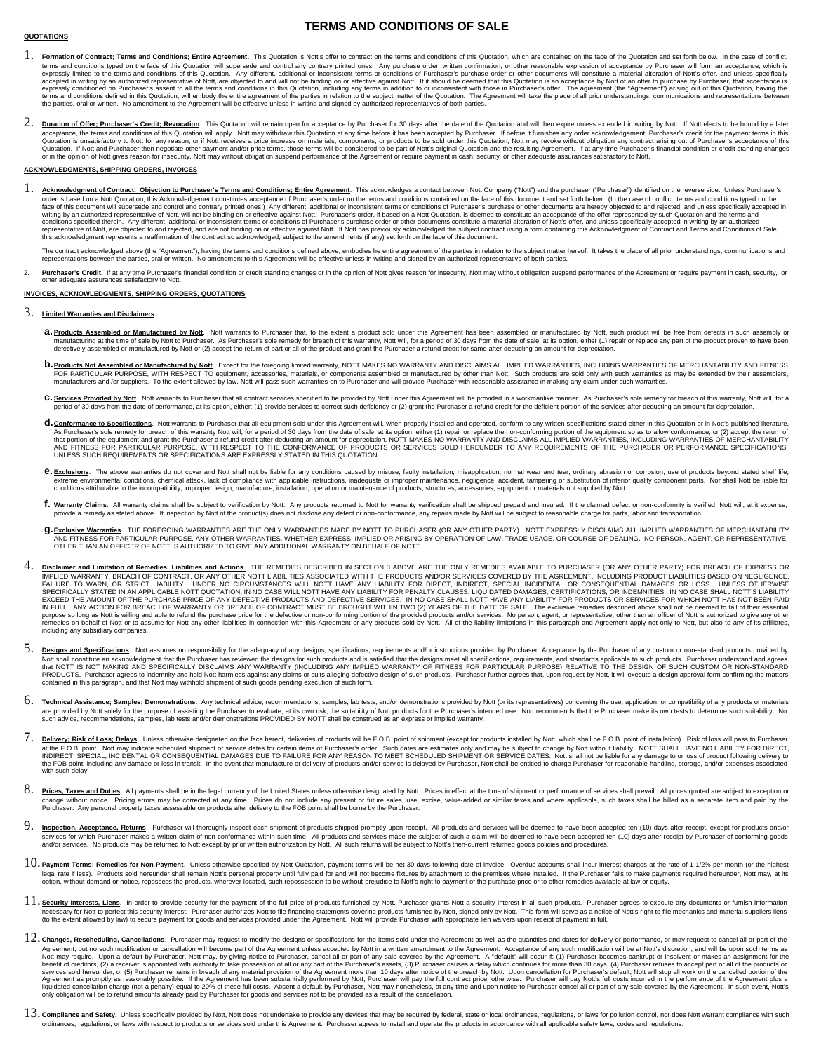### **QUOTATIONS**

# **TERMS AND CONDITIONS OF SALE**

- 1. Formation of Contract: Terms and Conditions: Entire Agreement. This Quotation is Nott's offer to contract on the terms and conditions of this Quotation, which are contained on the face of the Quotation and set forth bel terms and conditions typed on the face of this Quotation will supersede and control any contrary printed ones. Any purchase order, written confirmation, or other reasonable expression of acceptance by Purchaser will form a
- 2. Duration of Offer: Purchaser's Credit: Revocation. This Quotation will remain open for acceptance by Purchaser for 30 days after the date of the Quotation and will then expire unless extended in writing by Nott. If Nott acceptance, the terms and conditions of this Quotation will apply. Nott may withdraw this Quotation at any time before it has been accepted by Purchaser. If before it furnishes any order acknowledgement, Purchaser's credit or in the opinion of Nott gives reason for insecurity, Nott may without obligation suspend performance of the Agreement or require payment in cash, security, or other adequate assurances satisfactory to Nott.

#### **ACKNOWLEDGMENTS, SHIPPING ORDERS, INVOICES**

1. Acknowledgment of Contract. Objection to Purchaser's Terms and Conditions: Entire Agreement. This acknowledges a contact between Nott Company ("Nott") and the purchaser ("Purchaser") identified on the reverse side. Unle order is based on a Nott Quotation, this Acknowledgement constitutes acceptance of Purchaser's order on the terms and conditions contained on the face of this document and set forth below. (In the case of conflict, terms a representative of Nott, are objected to and rejected, and are not binding on or effective against Nott. If Nott has previously acknowledged the subject on that disting a form containing this acknowledgment of Contract and

The contract acknowledged above (the "Agreement"), having the terms and conditions defined above, embodies he entire agreement of the parties in relation to the subject matter hereof. It takes the place of all prior unders representations between the parties, oral or written. No amendment to this Agreement will be effective unless in writing and signed by an authorized representative of both parties.

Purchaser's Credit. If at any time Purchaser's financial condition or credit standing changes or in the opinion of Nott gives reason for insecurity, Nott may without obligation suspend performance of the Agreement or requi adequate assurances satisfactory to Nott.

#### **INVOICES, ACKNOWLEDGMENTS, SHIPPING ORDERS, QUOTATIONS**

## 3. **Limited Warranties and Disclaimers**.

- a. Products Assembled or Manufactured by Nott. Nott warrants to Purchaser that, to the extent a product sold under this Agreement has been assembled or manufactured by Nott, such product will be free from defects in such a manufacturing at the time of sale by Nott Orchaser. As Purchaser's sole remedy for breach of this warranty, Nott will, for a period of 30 days from the date of sale, at is option, either sucked by each of the product and g
- **b. Products Not Assembled or Manufactured by Nott**. Except for the foregoing limited warranty, NOTT MAKES NO WARRANTY AND DISCLAIMS ALL IMPLIED WARRANTIES, INCLUDING WARRANTIES OF MERCHANTABILITY AND FITNESS FOR PARTICULAR PURPOSE, WITH RESPECT TO equipment, accessories, materials, or components assembled or manufactured by other than Nott. Such products are sold only with such warranties as may be extended by their assemblers
- C. Services Provided by Nott. Nott warrants to Purchaser that all contract services specified to be provided by Nott under this Agreement will be provided in a workmanlike manner. As Purchaser's sole remedy for breach of t riod of 30 days from the date of performance, at its option, either: (1) provide services to correct such deficiency or (2) grant the Purchaser a refund credit for the deficient portion of the services after deducting an a
- d. Conformance to Specifications. Nott warrants to Purchaser that all equipment sold under this Agreement will, when properly installed and operated, conform to any written specifications stated either in this Quotation or UNLESS SUCH REQUIREMENTS OR SPECIFICATIONS ARE EXPRESSLY STATED IN THIS QUOTATION.
- e. Exclusions. The above warranties do not cover and Nott shall not be liable for any conditions caused by misuse, faulty installation, misapplication, normal wear and tear, ordinary abrasion or corrosion, use of products extreme environmental conditions, chemical attack, lack of compliance with applicable instructions, inadequate or improper maintenance, negligence, accident, tampering or substitution of inferior quality component parts. N
- f. Warranty Claims. All warranty claims shall be subject to verification by Nott. Any products returned to Nott for warranty verification shall be shipped prepaid and insured. If the claimed defect or non-conformity is ver provide a remedy as stated above. If inspection by Nott of the product(s) does not disclose any defect or non-conformance, any repairs made by Nott will be subject to reasonable charge for parts, labor and transportation.
- G. Exclusive Warranties. THE FOREGOING WARRANTIES ARE THE ONLY WARRANTIES MADE BY NOTT TO PURCHASER (OR ANY OTHER PARTY). NOTT EXPRESSLY DISCLAIMS ALL IMPLIED WARRANTIES OF MERCHANTABILITY<br>AND FITNESS FOR PARTICULAR PURPOS OTHER THAN AN OFFICER OF NOTT IS AUTHORIZED TO GIVE ANY ADDITIONAL WARRANTY ON BEHALF OF NOTT.
- 4. Disclaimer and Limitation of Remedies. Liabilities and Actions. The REMEDIES DESCRIBED IN SECTION 3 ABOVE ARE THE ONLY REMEDIES AVAILABLE TO PURCHASER (OR ANY OTHER PARTY) FOR BREACH OF EXPRESS OR<br>IMPLIED WARRANTY, BREA FAILURE TO WARN, OR STRICT LIABILITY. UNDER NO CIRCUMSTANCES WILL NOTT HAVE ANY LIABILITY FOR DIRECT, INDIRECT, SPECIAL INCIDENTAL OR CONSEQUENTIAL DAMAGES OR LOSS. UNLESS OTHERWISE<br>SPECIFICALLY STATED IN AN APPLICABLE NOT purpose so long as Nott is willing and able to refund the purchase price for the defective or non-conforming portion of the provided products and/or services. No person, agent, or representative, other than an officer of N including any subsidiary companies.
- 5. Designs and Specifications. Nott assumes no responsibility for the adequacy of any designs, specifications, requirements and/or instructions provided by Purchaser. Acceptance by the Purchaser of any custom or non-standa Nott shall constitute an acknowledgment that the Purchaser has reviewed the designs for such products and is satisfied that the designs meet all specifications, requirements, and standards applicable to such products. Purc PRODUCTS. Purchaser agrees to indemnity and hold Nott harmless against any claims or suits alleging defective design of such products. Purchaser further agrees that, upon request by Nott, it will execute a design approval
- 6. Technical Assistance: Samples: Demonstrations. Any technical advice, recommendations, samples, lab tests, and/or demonstrations provided by Nott (or its representatives) concerning the use, application, or compatibility are provided by Nott solely for the purpose of assisting the Purchaser to evaluate, at its own risk, the suitability of Nott products for the Purchaser's intended use. Nott recommends that the Purchaser make its own tests
- 7. Delivery; Risk of Loss; Delays. Unless otherwise designated on the face hereof, deliveries of products will be F.O.B. point of shipment (except for products installed by Nott, which shall be F.O.B. point of installation at the F.O.B. point. Nottmay indicate scheduled shipment or service dates for certain tiems of Purchaser's order. Such dates are estimates only and may be subject to change to or in studies its and the link of the STR Dire the FOB point, including any damage or loss in transit. In the event that manufacture or delivery of products and/or service is delayed by Purchaser, Nott shall be entitled to charge Purchaser for reasonable handling, stor
- 8. Prices. Taxes and Duties. All payments shall be in the legal currency of the United States unless otherwise designated by Nott. Prices in effect at the time of shipment or performance of services shall prevail. All pric
- 9. Inspection, Acceptance, Returns. Purchaser will thoroughly inspect each shipment of products shipped promptly upon receipt. All products and services will be deemed to have been accepted ten (10) days after receipt, exc services for which Purchaser makes a written claim of non-conformance within such time. All products and services made the subject of such a claim will be deemed to have been accepted ten (10) days after receipt by Purchas
- 10. Payment Terms: Remedies for Non-Payment. Unless otherwise specified by Nott Quotation, payment terms will be net 30 days following date of invoice. Overdue accounts shall incur interest charges at the rate of 1-1/2% pe legal rate if less). Products sold hereunder shall remain Nott's personal property until fully paid for and will not become fixtures by attachment to the premises where installed. If the Purchaser fails to make payments re
- 11. Security Interests. Liens. In order to provide security for the payment of the full price of products furnished by Nott, Purchaser grants Nott a security interest in all such products. Purchaser argrees to execute any
- 12. Changes, Rescheduling, Cancellations. Purchaser may request to modify the designs or specifications for the items sold under the Agreement as well as the quantities and dates for delivery or performance, or may request Agreement, but no such modification or cancellation will become part of the Agreement unless accepted by Nott in a written amendment to the Agreement. Acceptance of any such modification will be at Nott's discretion, and w only obligation will be to refund amounts already paid by Purchaser for goods and services not to be provided as a result of the cancellation.
- 13. Compliance and Safety. Unless specifically provided by Nott, Nott does not undertake to provide any devices that may be required by federal, state or local ordinances, regulations, or laws for pollution control, nor do ordinances, regulations, or laws with respect to products or services sold under this Agreement. Purchaser agrees to install and operate the products in accordance with all applicable safety laws, codes and regulations.